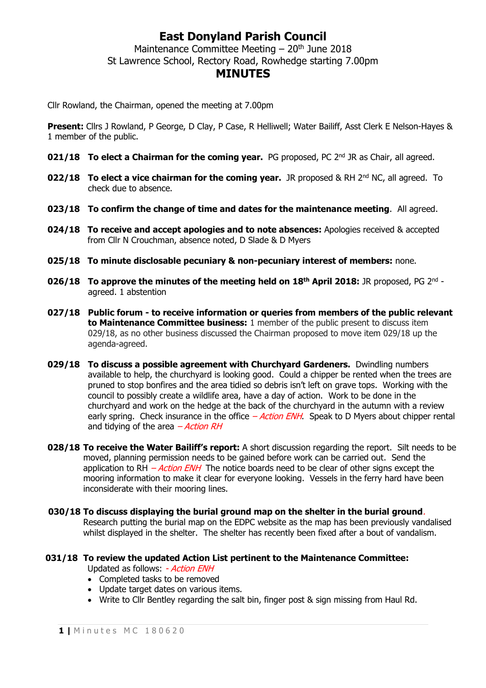## **East Donyland Parish Council**

Maintenance Committee Meeting  $-20<sup>th</sup>$  June 2018 St Lawrence School, Rectory Road, Rowhedge starting 7.00pm

### **MINUTES**

Cllr Rowland, the Chairman, opened the meeting at 7.00pm

**Present:** Cllrs J Rowland, P George, D Clay, P Case, R Helliwell; Water Bailiff, Asst Clerk E Nelson-Hayes & 1 member of the public.

- **021/18 To elect a Chairman for the coming year.** PG proposed, PC 2<sup>nd</sup> JR as Chair, all agreed.
- **022/18 To elect a vice chairman for the coming year.** JR proposed & RH 2<sup>nd</sup> NC, all agreed. To check due to absence.
- **023/18 To confirm the change of time and dates for the maintenance meeting**. All agreed.
- **024/18 To receive and accept apologies and to note absences:** Apologies received & accepted from Cllr N Crouchman, absence noted, D Slade & D Myers
- **025/18 To minute disclosable pecuniary & non-pecuniary interest of members:** none.
- **026/18 To approve the minutes of the meeting held on 18th April 2018:** JR proposed, PG 2 nd agreed. 1 abstention
- **027/18 Public forum - to receive information or queries from members of the public relevant to Maintenance Committee business:** 1 member of the public present to discuss item 029/18, as no other business discussed the Chairman proposed to move item 029/18 up the agenda-agreed.
- **029/18 To discuss a possible agreement with Churchyard Gardeners.** Dwindling numbers available to help, the churchyard is looking good. Could a chipper be rented when the trees are pruned to stop bonfires and the area tidied so debris isn't left on grave tops. Working with the council to possibly create a wildlife area, have a day of action. Work to be done in the churchyard and work on the hedge at the back of the churchyard in the autumn with a review early spring. Check insurance in the office  $-Action$  ENH. Speak to D Myers about chipper rental and tidying of the area  $-Action RH$
- **028/18 To receive the Water Bailiff's report:** A short discussion regarding the report. Silt needs to be moved, planning permission needs to be gained before work can be carried out. Send the application to RH  $-$  *Action ENH* The notice boards need to be clear of other signs except the mooring information to make it clear for everyone looking. Vessels in the ferry hard have been inconsiderate with their mooring lines.
- **030/18 To discuss displaying the burial ground map on the shelter in the burial ground**. Research putting the burial map on the EDPC website as the map has been previously vandalised whilst displayed in the shelter. The shelter has recently been fixed after a bout of vandalism.

#### **031/18 To review the updated Action List pertinent to the Maintenance Committee:**

Updated as follows: - Action ENH

- Completed tasks to be removed
- Update target dates on various items.
- Write to Cllr Bentley regarding the salt bin, finger post & sign missing from Haul Rd.